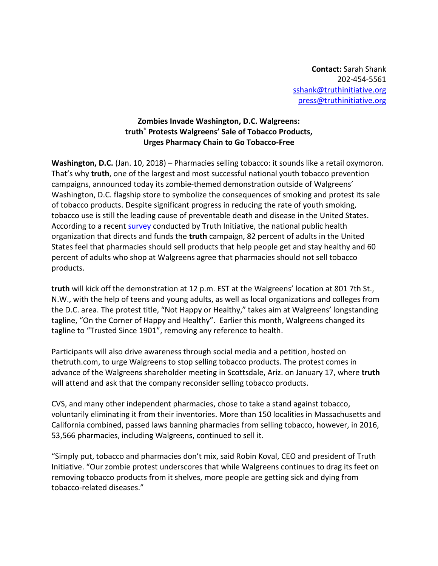## **Zombies Invade Washington, D.C. Walgreens: truth**® **Protests Walgreens' Sale of Tobacco Products, Urges Pharmacy Chain to Go Tobacco-Free**

**Washington, D.C.** (Jan. 10, 2018) – Pharmacies selling tobacco: it sounds like a retail oxymoron. That's why **truth**, one of the largest and most successful national youth tobacco prevention campaigns, announced today its zombie-themed demonstration outside of Walgreens' Washington, D.C. flagship store to symbolize the consequences of smoking and protest its sale of tobacco products. Despite significant progress in reducing the rate of youth smoking, tobacco use is still the leading cause of preventable death and disease in the United States. According to a recent [survey](https://truthinitiative.org/news/survey-walgreens-shoppers-want-tobacco-gone-stores) conducted by Truth Initiative, the national public health organization that directs and funds the **truth** campaign, 82 percent of adults in the United States feel that pharmacies should sell products that help people get and stay healthy and 60 percent of adults who shop at Walgreens agree that pharmacies should not sell tobacco products.

**truth** will kick off the demonstration at 12 p.m. EST at the Walgreens' location at 801 7th St., N.W., with the help of teens and young adults, as well as local organizations and colleges from the D.C. area. The protest title, "Not Happy or Healthy," takes aim at Walgreens' longstanding tagline, "On the Corner of Happy and Healthy". Earlier this month, Walgreens changed its tagline to "Trusted Since 1901", removing any reference to health.

Participants will also drive awareness through social media and a petition, hosted on thetruth.com, to urge Walgreens to stop selling tobacco products. The protest comes in advance of the Walgreens shareholder meeting in Scottsdale, Ariz. on January 17, where **truth**  will attend and ask that the company reconsider selling tobacco products.

CVS, and many other independent pharmacies, chose to take a stand against tobacco, voluntarily eliminating it from their inventories. More than 150 localities in Massachusetts and California combined, passed laws banning pharmacies from selling tobacco, however, in 2016, 53,566 pharmacies, including Walgreens, continued to sell it.

"Simply put, tobacco and pharmacies don't mix, said Robin Koval, CEO and president of Truth Initiative. "Our zombie protest underscores that while Walgreens continues to drag its feet on removing tobacco products from it shelves, more people are getting sick and dying from tobacco-related diseases."